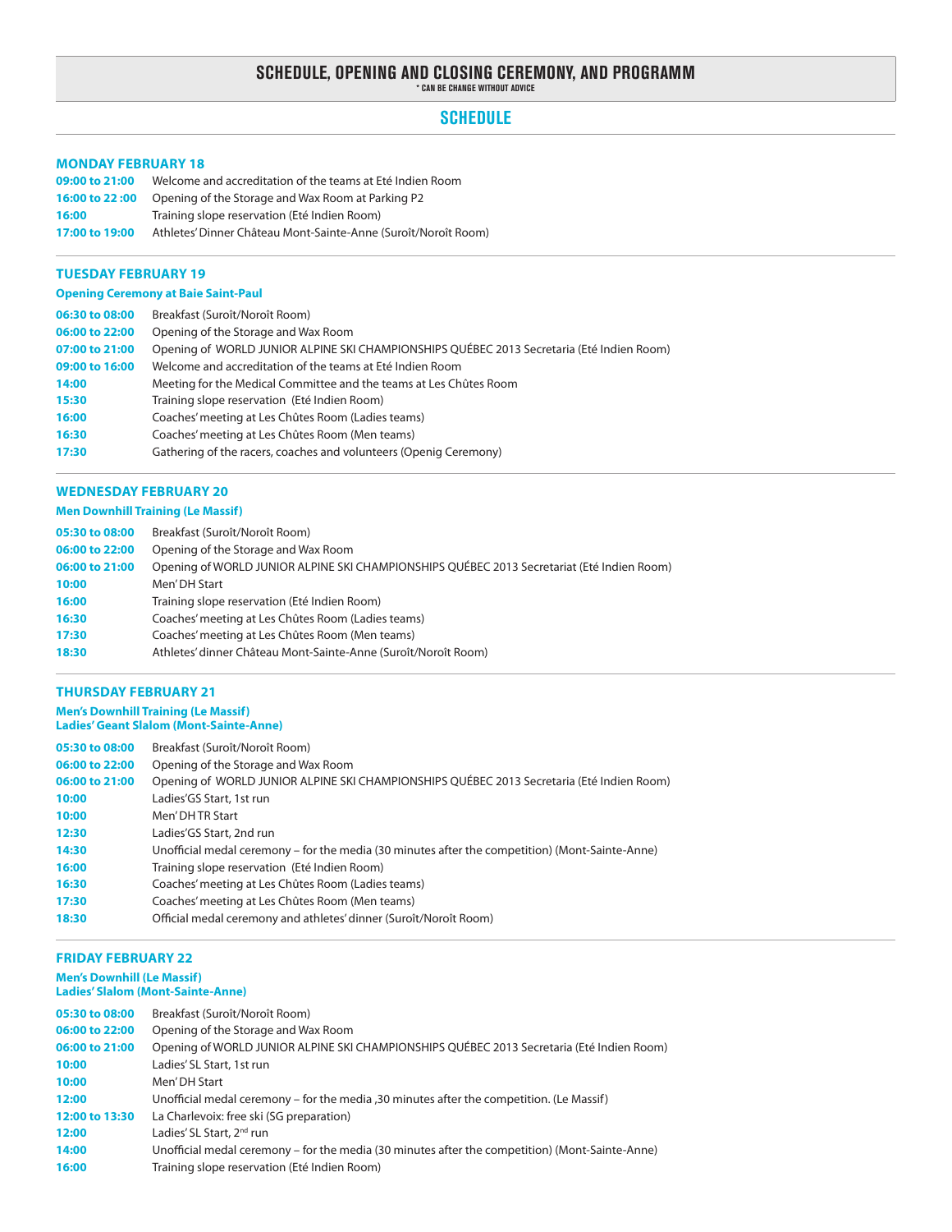# **SCHEDULE, OPENING AND CLOSING CEREMONY, AND PROGRAMM \* Can be change without advice**

# **SCHEDULE**

#### **Monday February 18**

| 09:00 to 21:00 | Welcome and accreditation of the teams at Eté Indien Room      |
|----------------|----------------------------------------------------------------|
| 16:00 to 22:00 | Opening of the Storage and Wax Room at Parking P2              |
| 16:00          | Training slope reservation (Eté Indien Room)                   |
| 17:00 to 19:00 | Athletes' Dinner Château Mont-Sainte-Anne (Suroît/Noroît Room) |

#### **Tuesday February 19**

#### **Opening Ceremony at Baie Saint-Paul**

| 06:30 to 08:00 | Breakfast (Suroît/Noroît Room)                                                            |
|----------------|-------------------------------------------------------------------------------------------|
| 06:00 to 22:00 | Opening of the Storage and Wax Room                                                       |
| 07:00 to 21:00 | Opening of WORLD JUNIOR ALPINE SKI CHAMPIONSHIPS QUÉBEC 2013 Secretaria (Eté Indien Room) |
| 09:00 to 16:00 | Welcome and accreditation of the teams at Eté Indien Room                                 |
| 14:00          | Meeting for the Medical Committee and the teams at Les Chûtes Room                        |
| 15:30          | Training slope reservation (Eté Indien Room)                                              |
| 16:00          | Coaches' meeting at Les Chûtes Room (Ladies teams)                                        |
| 16:30          | Coaches' meeting at Les Chûtes Room (Men teams)                                           |
| 17:30          | Gathering of the racers, coaches and volunteers (Openig Ceremony)                         |

#### **Wednesday February 20**

### **Men Downhill Training (Le Massif)**

| 05:30 to 08:00 | Breakfast (Suroît/Noroît Room)                                                             |
|----------------|--------------------------------------------------------------------------------------------|
| 06:00 to 22:00 | Opening of the Storage and Wax Room                                                        |
| 06:00 to 21:00 | Opening of WORLD JUNIOR ALPINE SKI CHAMPIONSHIPS QUÉBEC 2013 Secretariat (Eté Indien Room) |
| 10:00          | Men'DH Start                                                                               |
| 16:00          | Training slope reservation (Eté Indien Room)                                               |
| 16:30          | Coaches' meeting at Les Chûtes Room (Ladies teams)                                         |
| 17:30          | Coaches' meeting at Les Chûtes Room (Men teams)                                            |
| 18:30          | Athletes' dinner Château Mont-Sainte-Anne (Suroît/Noroît Room)                             |

#### **Thursday February 21**

#### **Men's Downhill Training (Le Massif) Ladies' Geant Slalom (Mont-Sainte-Anne)**

| 05:30 to 08:00 | Breakfast (Suroît/Noroît Room)                                                                  |
|----------------|-------------------------------------------------------------------------------------------------|
| 06:00 to 22:00 | Opening of the Storage and Wax Room                                                             |
| 06:00 to 21:00 | Opening of WORLD JUNIOR ALPINE SKI CHAMPIONSHIPS QUÉBEC 2013 Secretaria (Eté Indien Room)       |
| 10:00          | Ladies'GS Start, 1st run                                                                        |
| 10:00          | Men' DH TR Start                                                                                |
| 12:30          | Ladies'GS Start, 2nd run                                                                        |
| 14:30          | Unofficial medal ceremony – for the media (30 minutes after the competition) (Mont-Sainte-Anne) |
| 16:00          | Training slope reservation (Eté Indien Room)                                                    |
| 16:30          | Coaches' meeting at Les Chûtes Room (Ladies teams)                                              |
| 17:30          | Coaches' meeting at Les Chûtes Room (Men teams)                                                 |
| 18:30          | Official medal ceremony and athletes' dinner (Suroît/Noroît Room)                               |

#### **Friday February 22**

#### **Men's Downhill (Le Massif) Ladies' Slalom (Mont-Sainte-Anne)**

| 05:30 to 08:00 | Breakfast (Suroît/Noroît Room)                                                                  |
|----------------|-------------------------------------------------------------------------------------------------|
| 06:00 to 22:00 | Opening of the Storage and Wax Room                                                             |
| 06:00 to 21:00 | Opening of WORLD JUNIOR ALPINE SKI CHAMPIONSHIPS QUÉBEC 2013 Secretaria (Eté Indien Room)       |
| 10:00          | Ladies' SL Start, 1st run                                                                       |
| 10:00          | Men' DH Start                                                                                   |
| 12:00          | Unofficial medal ceremony – for the media , 30 minutes after the competition. (Le Massif)       |
| 12:00 to 13:30 | La Charlevoix: free ski (SG preparation)                                                        |
| 12:00          | Ladies' SL Start, 2 <sup>nd</sup> run                                                           |
| 14:00          | Unofficial medal ceremony – for the media (30 minutes after the competition) (Mont-Sainte-Anne) |
| 16:00          | Training slope reservation (Eté Indien Room)                                                    |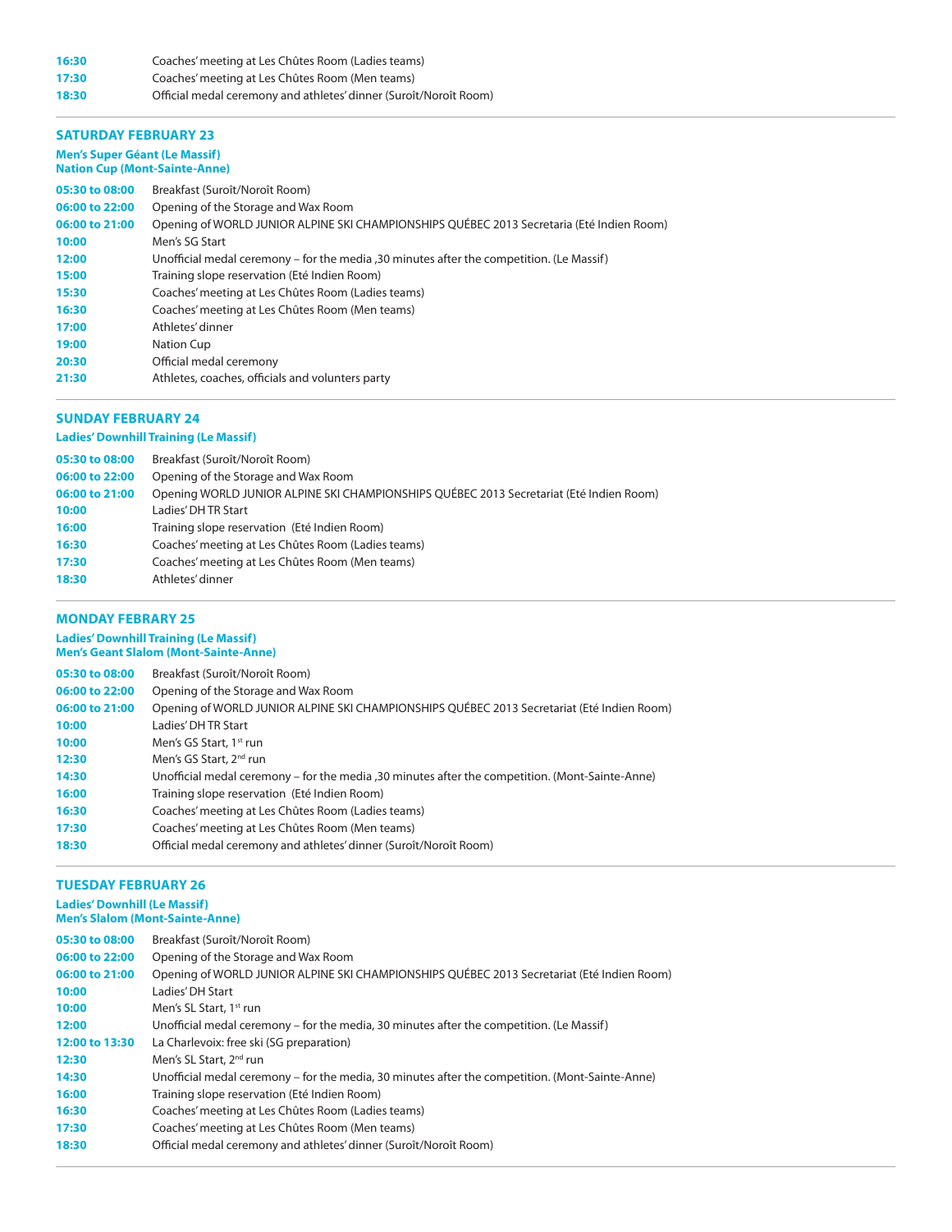# **16:30** Coaches' meeting at Les Chûtes Room (Ladies teams)

**17:30** Coaches' meeting at Les Chûtes Room (Men teams)

**18:30** Official medal ceremony and athletes' dinner (Suroît/Noroît Room)

#### **Saturday February 23**

#### **Men's Super Géant (Le Massif) Nation Cup (Mont-Sainte-Anne)**

| 05:30 to 08:00 | Breakfast (Suroît/Noroît Room)                                                            |
|----------------|-------------------------------------------------------------------------------------------|
| 06:00 to 22:00 | Opening of the Storage and Wax Room                                                       |
| 06:00 to 21:00 | Opening of WORLD JUNIOR ALPINE SKI CHAMPIONSHIPS QUÉBEC 2013 Secretaria (Eté Indien Room) |
| 10:00          | Men's SG Start                                                                            |
| 12:00          | Unofficial medal ceremony – for the media , 30 minutes after the competition. (Le Massif) |
| 15:00          | Training slope reservation (Eté Indien Room)                                              |
| 15:30          | Coaches' meeting at Les Chûtes Room (Ladies teams)                                        |
| 16:30          | Coaches' meeting at Les Chûtes Room (Men teams)                                           |
| 17:00          | Athletes' dinner                                                                          |
| 19:00          | Nation Cup                                                                                |
| 20:30          | Official medal ceremony                                                                   |
| 21:30          | Athletes, coaches, officials and volunters party                                          |

# **Sunday February 24**

# **Ladies' Downhill Training (Le Massif)**

| 05:30 to 08:00 | Breakfast (Suroît/Noroît Room)                                                          |
|----------------|-----------------------------------------------------------------------------------------|
| 06:00 to 22:00 | Opening of the Storage and Wax Room                                                     |
| 06:00 to 21:00 | Opening WORLD JUNIOR ALPINE SKI CHAMPIONSHIPS QUÉBEC 2013 Secretariat (Eté Indien Room) |
| 10:00          | Ladies' DH TR Start                                                                     |
| 16:00          | Training slope reservation (Eté Indien Room)                                            |
| 16:30          | Coaches' meeting at Les Chûtes Room (Ladies teams)                                      |
| 17:30          | Coaches' meeting at Les Chûtes Room (Men teams)                                         |
| 18:30          | Athletes' dinner                                                                        |
|                |                                                                                         |

#### **Monday Febrary 25**

#### **Ladies' Downhill Training (Le Massif) Men's Geant Slalom (Mont-Sainte-Anne)**

| 05:30 to 08:00 | Breakfast (Suroît/Noroît Room)                                                                   |
|----------------|--------------------------------------------------------------------------------------------------|
| 06:00 to 22:00 | Opening of the Storage and Wax Room                                                              |
| 06:00 to 21:00 | Opening of WORLD JUNIOR ALPINE SKI CHAMPIONSHIPS QUÉBEC 2013 Secretariat (Eté Indien Room)       |
| 10:00          | Ladies' DH TR Start                                                                              |
| 10:00          | Men's GS Start, 1 <sup>st</sup> run                                                              |
| 12:30          | Men's GS Start, 2 <sup>nd</sup> run                                                              |
| 14:30          | Unofficial medal ceremony – for the media , 30 minutes after the competition. (Mont-Sainte-Anne) |
| 16:00          | Training slope reservation (Eté Indien Room)                                                     |
| 16:30          | Coaches' meeting at Les Chûtes Room (Ladies teams)                                               |
| 17:30          | Coaches' meeting at Les Chûtes Room (Men teams)                                                  |
| 18:30          | Official medal ceremony and athletes' dinner (Suroît/Noroît Room)                                |

# **Tuesday February 26**

# **Ladies' Downhill (Le Massif)**

| <b>Men's Slalom (Mont-Sainte-Anne)</b> |                                                                                                 |
|----------------------------------------|-------------------------------------------------------------------------------------------------|
| 05:30 to 08:00                         | Breakfast (Suroît/Noroît Room)                                                                  |
| 06:00 to 22:00                         | Opening of the Storage and Wax Room                                                             |
| 06:00 to 21:00                         | Opening of WORLD JUNIOR ALPINE SKI CHAMPIONSHIPS QUÉBEC 2013 Secretariat (Eté Indien Room)      |
| 10:00                                  | Ladies' DH Start                                                                                |
| 10:00                                  | Men's SL Start, 1 <sup>st</sup> run                                                             |
| 12:00                                  | Unofficial medal ceremony – for the media, 30 minutes after the competition. (Le Massif)        |
| 12:00 to 13:30                         | La Charlevoix: free ski (SG preparation)                                                        |
| 12:30                                  | Men's SL Start, 2 <sup>nd</sup> run                                                             |
| 14:30                                  | Unofficial medal ceremony – for the media, 30 minutes after the competition. (Mont-Sainte-Anne) |
| 16:00                                  | Training slope reservation (Eté Indien Room)                                                    |
| 16:30                                  | Coaches' meeting at Les Chûtes Room (Ladies teams)                                              |
| 17:30                                  | Coaches' meeting at Les Chûtes Room (Men teams)                                                 |
| 18:30                                  | Official medal ceremony and athletes' dinner (Suroît/Noroît Room)                               |
|                                        |                                                                                                 |